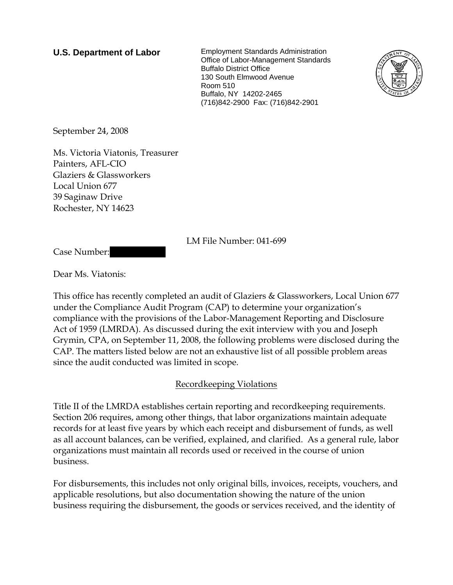**U.S. Department of Labor** Employment Standards Administration Office of Labor-Management Standards Buffalo District Office 130 South Elmwood Avenue Room 510 Buffalo, NY 14202-2465 (716)842-2900 Fax: (716)842-2901



September 24, 2008

Ms. Victoria Viatonis, Treasurer Painters, AFL-CIO Glaziers & Glassworkers Local Union 677 39 Saginaw Drive Rochester, NY 14623

LM File Number: 041-699

Case Number:

Dear Ms. Viatonis:

This office has recently completed an audit of Glaziers & Glassworkers, Local Union 677 under the Compliance Audit Program (CAP) to determine your organization's compliance with the provisions of the Labor-Management Reporting and Disclosure Act of 1959 (LMRDA). As discussed during the exit interview with you and Joseph Grymin, CPA, on September 11, 2008, the following problems were disclosed during the CAP. The matters listed below are not an exhaustive list of all possible problem areas since the audit conducted was limited in scope.

## Recordkeeping Violations

Title II of the LMRDA establishes certain reporting and recordkeeping requirements. Section 206 requires, among other things, that labor organizations maintain adequate records for at least five years by which each receipt and disbursement of funds, as well as all account balances, can be verified, explained, and clarified. As a general rule, labor organizations must maintain all records used or received in the course of union business.

For disbursements, this includes not only original bills, invoices, receipts, vouchers, and applicable resolutions, but also documentation showing the nature of the union business requiring the disbursement, the goods or services received, and the identity of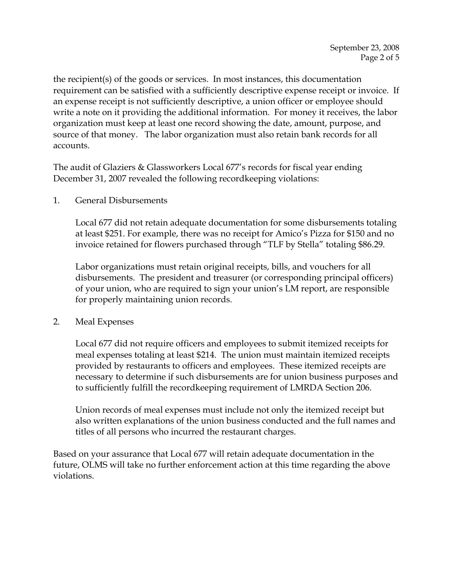the recipient(s) of the goods or services. In most instances, this documentation requirement can be satisfied with a sufficiently descriptive expense receipt or invoice. If an expense receipt is not sufficiently descriptive, a union officer or employee should write a note on it providing the additional information. For money it receives, the labor organization must keep at least one record showing the date, amount, purpose, and source of that money. The labor organization must also retain bank records for all accounts.

The audit of Glaziers & Glassworkers Local 677's records for fiscal year ending December 31, 2007 revealed the following recordkeeping violations:

1. General Disbursements

Local 677 did not retain adequate documentation for some disbursements totaling at least \$251. For example, there was no receipt for Amico's Pizza for \$150 and no invoice retained for flowers purchased through "TLF by Stella" totaling \$86.29.

Labor organizations must retain original receipts, bills, and vouchers for all disbursements. The president and treasurer (or corresponding principal officers) of your union, who are required to sign your union's LM report, are responsible for properly maintaining union records.

2. Meal Expenses

Local 677 did not require officers and employees to submit itemized receipts for meal expenses totaling at least \$214. The union must maintain itemized receipts provided by restaurants to officers and employees. These itemized receipts are necessary to determine if such disbursements are for union business purposes and to sufficiently fulfill the recordkeeping requirement of LMRDA Section 206.

Union records of meal expenses must include not only the itemized receipt but also written explanations of the union business conducted and the full names and titles of all persons who incurred the restaurant charges.

Based on your assurance that Local 677 will retain adequate documentation in the future, OLMS will take no further enforcement action at this time regarding the above violations.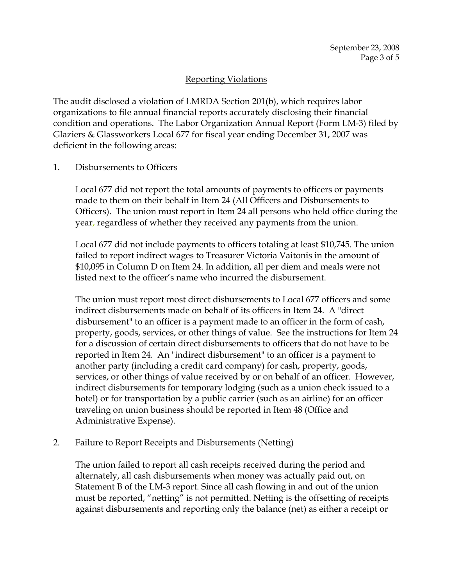# Reporting Violations

The audit disclosed a violation of LMRDA Section 201(b), which requires labor organizations to file annual financial reports accurately disclosing their financial condition and operations. The Labor Organization Annual Report (Form LM-3) filed by Glaziers & Glassworkers Local 677 for fiscal year ending December 31, 2007 was deficient in the following areas:

## 1. Disbursements to Officers

Local 677 did not report the total amounts of payments to officers or payments made to them on their behalf in Item 24 (All Officers and Disbursements to Officers). The union must report in Item 24 all persons who held office during the year, regardless of whether they received any payments from the union.

Local 677 did not include payments to officers totaling at least \$10,745. The union failed to report indirect wages to Treasurer Victoria Vaitonis in the amount of \$10,095 in Column D on Item 24. In addition, all per diem and meals were not listed next to the officer's name who incurred the disbursement.

The union must report most direct disbursements to Local 677 officers and some indirect disbursements made on behalf of its officers in Item 24. A "direct disbursement" to an officer is a payment made to an officer in the form of cash, property, goods, services, or other things of value. See the instructions for Item 24 for a discussion of certain direct disbursements to officers that do not have to be reported in Item 24. An "indirect disbursement" to an officer is a payment to another party (including a credit card company) for cash, property, goods, services, or other things of value received by or on behalf of an officer. However, indirect disbursements for temporary lodging (such as a union check issued to a hotel) or for transportation by a public carrier (such as an airline) for an officer traveling on union business should be reported in Item 48 (Office and Administrative Expense).

## 2. Failure to Report Receipts and Disbursements (Netting)

The union failed to report all cash receipts received during the period and alternately, all cash disbursements when money was actually paid out, on Statement B of the LM-3 report. Since all cash flowing in and out of the union must be reported, "netting" is not permitted. Netting is the offsetting of receipts against disbursements and reporting only the balance (net) as either a receipt or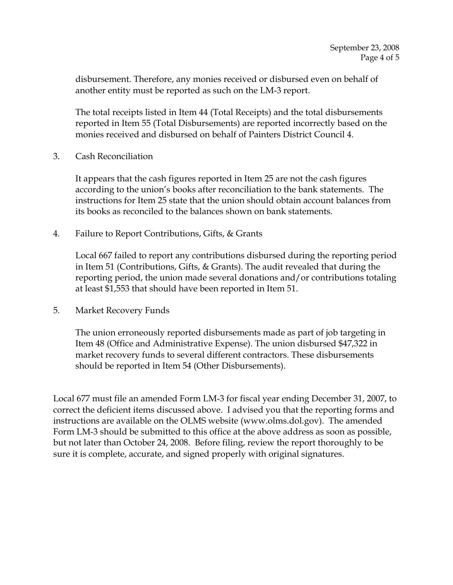disbursement. Therefore, any monies received or disbursed even on behalf of another entity must be reported as such on the LM-3 report.

The total receipts listed in Item 44 (Total Receipts) and the total disbursements reported in Item 55 (Total Disbursements) are reported incorrectly based on the monies received and disbursed on behalf of Painters District Council 4.

3. Cash Reconciliation

It appears that the cash figures reported in Item 25 are not the cash figures according to the union's books after reconciliation to the bank statements. The instructions for Item 25 state that the union should obtain account balances from its books as reconciled to the balances shown on bank statements.

4. Failure to Report Contributions, Gifts, & Grants

Local 667 failed to report any contributions disbursed during the reporting period in Item 51 (Contributions, Gifts, & Grants). The audit revealed that during the reporting period, the union made several donations and/or contributions totaling at least \$1,553 that should have been reported in Item 51.

5. Market Recovery Funds

The union erroneously reported disbursements made as part of job targeting in Item 48 (Office and Administrative Expense). The union disbursed \$47,322 in market recovery funds to several different contractors. These disbursements should be reported in Item 54 (Other Disbursements).

Local 677 must file an amended Form LM-3 for fiscal year ending December 31, 2007, to correct the deficient items discussed above. I advised you that the reporting forms and instructions are available on the OLMS website (www.olms.dol.gov). The amended Form LM-3 should be submitted to this office at the above address as soon as possible, but not later than October 24, 2008. Before filing, review the report thoroughly to be sure it is complete, accurate, and signed properly with original signatures.